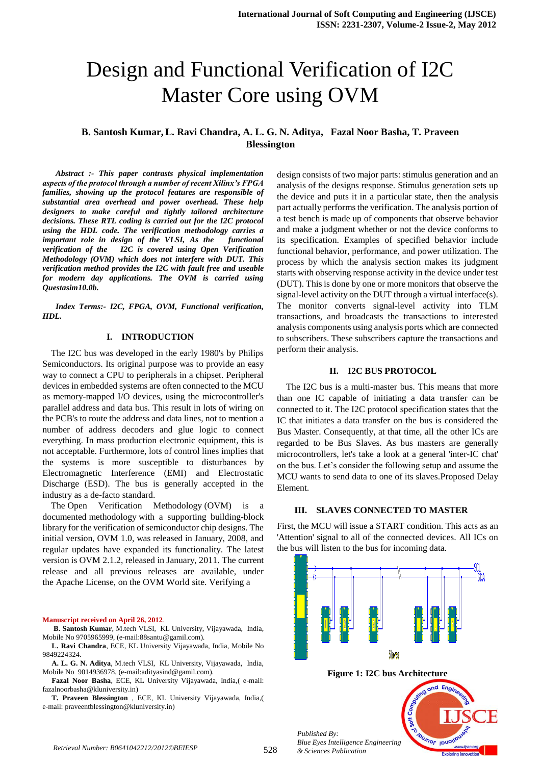# Design and Functional Verification of I2C Master Core using OVM

## **B. Santosh Kumar, L. Ravi Chandra, A. L. G. N. Aditya, Fazal Noor Basha, T. Praveen Blessington**

*Abstract :- This paper contrasts physical implementation aspects of the protocol through a number of recent Xilinx's FPGA families, showing up the protocol features are responsible of substantial area overhead and power overhead. These help designers to make careful and tightly tailored architecture decisions. These RTL coding is carried out for the I2C protocol using the HDL code. The verification methodology carries a important role in design of the VLSI, As the functional verification of the I2C is covered using Open Verification Methodology (OVM) which does not interfere with DUT. This verification method provides the I2C with fault free and useable for modern day applications. The OVM is carried using Questasim10.0b.*

*Index Terms:- I2C, FPGA, OVM, Functional verification, HDL.*

### **I. INTRODUCTION**

The I2C bus was developed in the early 1980's by Philips Semiconductors. Its original purpose was to provide an easy way to connect a CPU to peripherals in a chipset. Peripheral devices in embedded systems are often connected to the MCU as memory-mapped I/O devices, using the microcontroller's parallel address and data bus. This result in lots of wiring on the PCB's to route the address and data lines, not to mention a number of address decoders and glue logic to connect everything. In mass production electronic equipment, this is not acceptable. Furthermore, lots of control lines implies that the systems is more susceptible to disturbances by Electromagnetic Interference (EMI) and Electrostatic Discharge (ESD). The bus is generally accepted in the industry as a de-facto standard.

The Open Verification Methodology (OVM) is a documented methodology with a supporting building-block library for the verification of semiconductor chip designs. The initial version, OVM 1.0, was released in January, 2008, and regular updates have expanded its functionality. The latest version is OVM 2.1.2, released in January, 2011. The current release and all previous releases are available, under the Apache License, on the OVM World site. Verifying a

#### **Manuscript received on April 26, 2012**.

**B. Santosh Kumar**, M.tech VLSI, KL University, Vijayawada, India, Mobile No 9705965999, (e-mail:88santu@gamil.com).

**L. Ravi Chandra**, ECE, KL University Vijayawada, India, Mobile No 9849224324.

**A. L. G. N. Aditya**, M.tech VLSI, KL University, Vijayawada, India, Mobile No 9014936978, (e-mail:adityasind@gamil.com).

**Fazal Noor Basha**, ECE, KL University Vijayawada, India,( e-mail: fazalnoorbasha@kluniversity.in)

**T. Praveen Blessington** , ECE, KL University Vijayawada, India,( e-mail: praveentblessington@kluniversity.in)

design consists of two major parts: stimulus generation and an analysis of the designs response. Stimulus generation sets up the device and puts it in a particular state, then the analysis part actually performs the verification. The analysis portion of a test bench is made up of components that observe behavior and make a judgment whether or not the device conforms to its specification. Examples of specified behavior include functional behavior, performance, and power utilization. The process by which the analysis section makes its judgment starts with observing response activity in the device under test (DUT). This is done by one or more monitors that observe the signal-level activity on the DUT through a virtual interface(s). The monitor converts signal-level activity into TLM transactions, and broadcasts the transactions to interested analysis components using analysis ports which are connected to subscribers. These subscribers capture the transactions and perform their analysis.

#### **II. I2C BUS PROTOCOL**

The I2C bus is a multi-master bus. This means that more than one IC capable of initiating a data transfer can be connected to it. The I2C protocol specification states that the IC that initiates a data transfer on the bus is considered the Bus Master. Consequently, at that time, all the other ICs are regarded to be Bus Slaves. As bus masters are generally microcontrollers, let's take a look at a general 'inter-IC chat' on the bus. Let's consider the following setup and assume the MCU wants to send data to one of its slaves.Proposed Delay Element.

### **III. SLAVES CONNECTED TO MASTER**

First, the MCU will issue a START condition. This acts as an 'Attention' signal to all of the connected devices. All ICs on the bus will listen to the bus for incoming data.



*& Sciences Publication*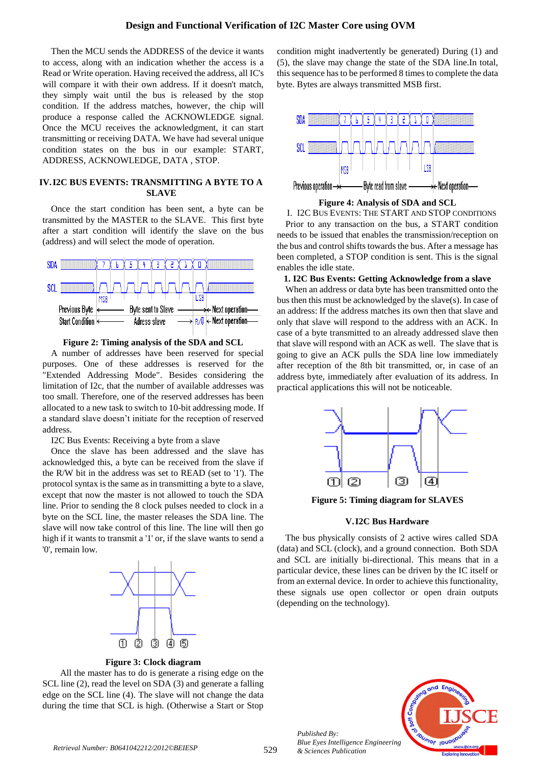Then the MCU sends the ADDRESS of the device it wants to access, along with an indication whether the access is a Read or Write operation. Having received the address, all IC's will compare it with their own address. If it doesn't match, they simply wait until the bus is released by the stop condition. If the address matches, however, the chip will produce a response called the ACKNOWLEDGE signal. Once the MCU receives the acknowledgment, it can start transmitting or receiving DATA. We have had several unique condition states on the bus in our example: START, ADDRESS, ACKNOWLEDGE, DATA , STOP.

## **IV.I2C BUS EVENTS: TRANSMITTING A BYTE TO A SLAVE**

Once the start condition has been sent, a byte can be transmitted by the MASTER to the SLAVE. This first byte after a start condition will identify the slave on the bus (address) and will select the mode of operation.





A number of addresses have been reserved for special purposes. One of these addresses is reserved for the "Extended Addressing Mode". Besides considering the limitation of I2c, that the number of available addresses was too small. Therefore, one of the reserved addresses has been allocated to a new task to switch to 10-bit addressing mode. If a standard slave doesn't initiate for the reception of reserved address.

I2C Bus Events: Receiving a byte from a slave

Once the slave has been addressed and the slave has acknowledged this, a byte can be received from the slave if the R/W bit in the address was set to READ (set to '1'). The protocol syntax is the same as in transmitting a byte to a slave, except that now the master is not allowed to touch the SDA line. Prior to sending the 8 clock pulses needed to clock in a byte on the SCL line, the master releases the SDA line. The slave will now take control of this line. The line will then go high if it wants to transmit a '1' or, if the slave wants to send a '0', remain low.



**Figure 3: Clock diagram**

 All the master has to do is generate a rising edge on the SCL line (2), read the level on SDA (3) and generate a falling edge on the SCL line (4). The slave will not change the data during the time that SCL is high. (Otherwise a Start or Stop condition might inadvertently be generated) During (1) and (5), the slave may change the state of the SDA line.In total, this sequence has to be performed 8 times to complete the data byte. Bytes are always transmitted MSB first.



### **Figure 4: Analysis of SDA and SCL**

I. I2C BUS EVENTS: THE START AND STOP CONDITIONS Prior to any transaction on the bus, a START condition needs to be issued that enables the transmission/reception on the bus and control shifts towards the bus. After a message has been completed, a STOP condition is sent. This is the signal enables the idle state.

#### **1. I2C Bus Events: Getting Acknowledge from a slave**

When an address or data byte has been transmitted onto the bus then this must be acknowledged by the slave(s). In case of an address: If the address matches its own then that slave and only that slave will respond to the address with an ACK. In case of a byte transmitted to an already addressed slave then that slave will respond with an ACK as well. The slave that is going to give an ACK pulls the SDA line low immediately after reception of the 8th bit transmitted, or, in case of an address byte, immediately after evaluation of its address. In practical applications this will not be noticeable.



**Figure 5: Timing diagram for SLAVES**

## **V.I2C Bus Hardware**

The bus physically consists of 2 active wires called SDA (data) and SCL (clock), and a ground connection. Both SDA and SCL are initially bi-directional. This means that in a particular device, these lines can be driven by the IC itself or from an external device. In order to achieve this functionality, these signals use open collector or open drain outputs (depending on the technology).



*Published By: Blue Eyes Intelligence Engineering & Sciences Publication*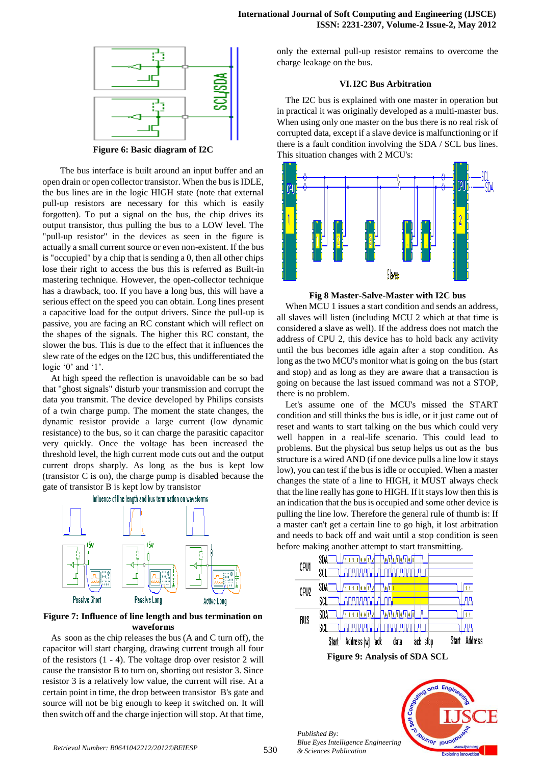

**Figure 6: Basic diagram of I2C**

 The bus interface is built around an input buffer and an open drain or open collector transistor. When the bus is IDLE, the bus lines are in the logic HIGH state (note that external pull-up resistors are necessary for this which is easily forgotten). To put a signal on the bus, the chip drives its output transistor, thus pulling the bus to a LOW level. The "pull-up resistor" in the devices as seen in the figure is actually a small current source or even non-existent. If the bus is "occupied" by a chip that is sending a 0, then all other chips lose their right to access the bus this is referred as Built-in mastering technique. However, the open-collector technique has a drawback, too. If you have a long bus, this will have a serious effect on the speed you can obtain. Long lines present a capacitive load for the output drivers. Since the pull-up is passive, you are facing an RC constant which will reflect on the shapes of the signals. The higher this RC constant, the slower the bus. This is due to the effect that it influences the slew rate of the edges on the I2C bus, this undifferentiated the logic '0' and '1'.

At high speed the reflection is unavoidable can be so bad that "ghost signals" disturb your transmission and corrupt the data you transmit. The device developed by Philips consists of a twin charge pump. The moment the state changes, the dynamic resistor provide a large current (low dynamic resistance) to the bus, so it can charge the parasitic capacitor very quickly. Once the voltage has been increased the threshold level, the high current mode cuts out and the output current drops sharply. As long as the bus is kept low (transistor C is on), the charge pump is disabled because the gate of transistor B is kept low by transistor



## **Figure 7: Influence of line length and bus termination on waveforms**

As soon as the chip releases the bus (A and C turn off), the capacitor will start charging, drawing current trough all four of the resistors (1 - 4). The voltage drop over resistor 2 will cause the transistor B to turn on, shorting out resistor 3. Since resistor 3 is a relatively low value, the current will rise. At a certain point in time, the drop between transistor B's gate and source will not be big enough to keep it switched on. It will then switch off and the charge injection will stop. At that time, only the external pull-up resistor remains to overcome the charge leakage on the bus.

## **VI.I2C Bus Arbitration**

The I2C bus is explained with one master in operation but in practical it was originally developed as a multi-master bus. When using only one master on the bus there is no real risk of corrupted data, except if a slave device is malfunctioning or if there is a fault condition involving the SDA / SCL bus lines. This situation changes with 2 MCU's:



**Fig 8 Master-Salve-Master with I2C bus**

When MCU 1 issues a start condition and sends an address, all slaves will listen (including MCU 2 which at that time is considered a slave as well). If the address does not match the address of CPU 2, this device has to hold back any activity until the bus becomes idle again after a stop condition. As long as the two MCU's monitor what is going on the bus (start and stop) and as long as they are aware that a transaction is going on because the last issued command was not a STOP, there is no problem.

Let's assume one of the MCU's missed the START condition and still thinks the bus is idle, or it just came out of reset and wants to start talking on the bus which could very well happen in a real-life scenario. This could lead to problems. But the physical bus setup helps us out as the bus structure is a wired AND (if one device pulls a line low it stays low), you can test if the bus is idle or occupied. When a master changes the state of a line to HIGH, it MUST always check that the line really has gone to HIGH. If it stays low then this is an indication that the bus is occupied and some other device is pulling the line low. Therefore the general rule of thumb is: If a master can't get a certain line to go high, it lost arbitration and needs to back off and wait until a stop condition is seen before making another attempt to start transmitting.



*Published By: Blue Eyes Intelligence Engineering & Sciences Publication* 

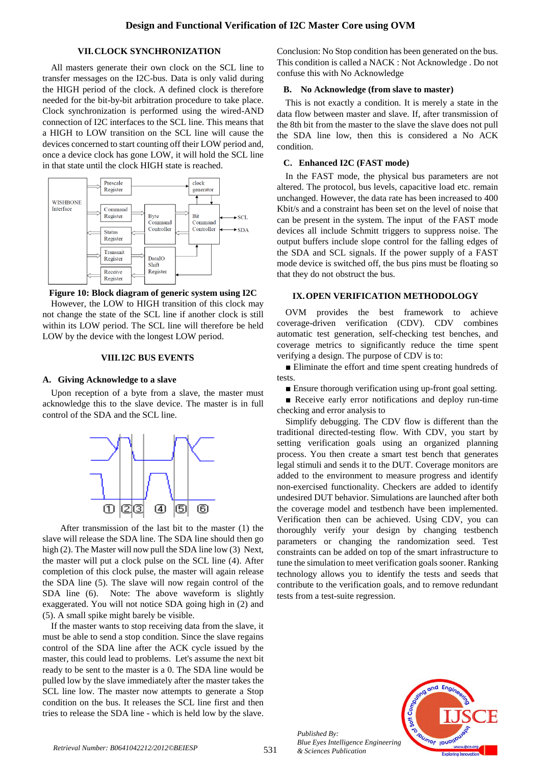## **VII.CLOCK SYNCHRONIZATION**

All masters generate their own clock on the SCL line to transfer messages on the I2C-bus. Data is only valid during the HIGH period of the clock. A defined clock is therefore needed for the bit-by-bit arbitration procedure to take place. Clock synchronization is performed using the wired-AND connection of I2C interfaces to the SCL line. This means that a HIGH to LOW transition on the SCL line will cause the devices concerned to start counting off their LOW period and, once a device clock has gone LOW, it will hold the SCL line in that state until the clock HIGH state is reached.



**Figure 10: Block diagram of generic system using I2C**

However, the LOW to HIGH transition of this clock may not change the state of the SCL line if another clock is still within its LOW period. The SCL line will therefore be held LOW by the device with the longest LOW period.

#### **VIII.I2C BUS EVENTS**

#### **A. Giving Acknowledge to a slave**

Upon reception of a byte from a slave, the master must acknowledge this to the slave device. The master is in full control of the SDA and the SCL line.



 After transmission of the last bit to the master (1) the slave will release the SDA line. The SDA line should then go high (2). The Master will now pull the SDA line low (3) Next, the master will put a clock pulse on the SCL line (4). After completion of this clock pulse, the master will again release the SDA line (5). The slave will now regain control of the SDA line (6). Note: The above waveform is slightly exaggerated. You will not notice SDA going high in (2) and (5). A small spike might barely be visible.

If the master wants to stop receiving data from the slave, it must be able to send a stop condition. Since the slave regains control of the SDA line after the ACK cycle issued by the master, this could lead to problems. Let's assume the next bit ready to be sent to the master is a 0. The SDA line would be pulled low by the slave immediately after the master takes the SCL line low. The master now attempts to generate a Stop condition on the bus. It releases the SCL line first and then tries to release the SDA line - which is held low by the slave.

Conclusion: No Stop condition has been generated on the bus. This condition is called a NACK : Not Acknowledge . Do not confuse this with No Acknowledge

## **B. No Acknowledge (from slave to master)**

This is not exactly a condition. It is merely a state in the data flow between master and slave. If, after transmission of the 8th bit from the master to the slave the slave does not pull the SDA line low, then this is considered a No ACK condition.

## **C. Enhanced I2C (FAST mode)**

In the FAST mode, the physical bus parameters are not altered. The protocol, bus levels, capacitive load etc. remain unchanged. However, the data rate has been increased to 400 Kbit/s and a constraint has been set on the level of noise that can be present in the system. The input of the FAST mode devices all include Schmitt triggers to suppress noise. The output buffers include slope control for the falling edges of the SDA and SCL signals. If the power supply of a FAST mode device is switched off, the bus pins must be floating so that they do not obstruct the bus.

## **IX.OPEN VERIFICATION METHODOLOGY**

OVM provides the best framework to achieve coverage-driven verification (CDV). CDV combines automatic test generation, self-checking test benches, and coverage metrics to significantly reduce the time spent verifying a design. The purpose of CDV is to:

■ Eliminate the effort and time spent creating hundreds of tests.

■ Ensure thorough verification using up-front goal setting.

■ Receive early error notifications and deploy run-time checking and error analysis to

Simplify debugging. The CDV flow is different than the traditional directed-testing flow. With CDV, you start by setting verification goals using an organized planning process. You then create a smart test bench that generates legal stimuli and sends it to the DUT. Coverage monitors are added to the environment to measure progress and identify non-exercised functionality. Checkers are added to identify undesired DUT behavior. Simulations are launched after both the coverage model and testbench have been implemented. Verification then can be achieved. Using CDV, you can thoroughly verify your design by changing testbench parameters or changing the randomization seed. Test constraints can be added on top of the smart infrastructure to tune the simulation to meet verification goals sooner. Ranking technology allows you to identify the tests and seeds that contribute to the verification goals, and to remove redundant tests from a test-suite regression.



*Published By: Blue Eyes Intelligence Engineering & Sciences Publication*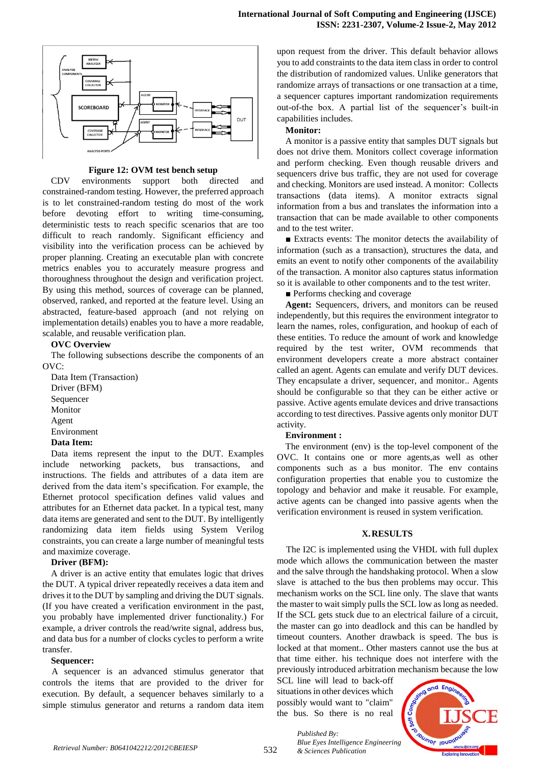

### **Figure 12: OVM test bench setup**

CDV environments support both directed and constrained-random testing. However, the preferred approach is to let constrained-random testing do most of the work before devoting effort to writing time-consuming, deterministic tests to reach specific scenarios that are too difficult to reach randomly. Significant efficiency and visibility into the verification process can be achieved by proper planning. Creating an executable plan with concrete metrics enables you to accurately measure progress and thoroughness throughout the design and verification project. By using this method, sources of coverage can be planned, observed, ranked, and reported at the feature level. Using an abstracted, feature-based approach (and not relying on implementation details) enables you to have a more readable, scalable, and reusable verification plan.

#### **OVC Overview**

The following subsections describe the components of an OVC:

Data Item (Transaction) Driver (BFM) Sequencer Monitor Agent Environment **Data Item:** 

Data items represent the input to the DUT. Examples include networking packets, bus transactions, and instructions. The fields and attributes of a data item are derived from the data item's specification. For example, the Ethernet protocol specification defines valid values and attributes for an Ethernet data packet. In a typical test, many data items are generated and sent to the DUT. By intelligently randomizing data item fields using System Verilog constraints, you can create a large number of meaningful tests and maximize coverage.

#### **Driver (BFM):**

A driver is an active entity that emulates logic that drives the DUT. A typical driver repeatedly receives a data item and drives it to the DUT by sampling and driving the DUT signals. (If you have created a verification environment in the past, you probably have implemented driver functionality.) For example, a driver controls the read/write signal, address bus, and data bus for a number of clocks cycles to perform a write transfer.

#### **Sequencer:**

A sequencer is an advanced stimulus generator that controls the items that are provided to the driver for execution. By default, a sequencer behaves similarly to a simple stimulus generator and returns a random data item upon request from the driver. This default behavior allows you to add constraints to the data item class in order to control the distribution of randomized values. Unlike generators that randomize arrays of transactions or one transaction at a time, a sequencer captures important randomization requirements out-of-the box. A partial list of the sequencer's built-in capabilities includes.

#### **Monitor:**

A monitor is a passive entity that samples DUT signals but does not drive them. Monitors collect coverage information and perform checking. Even though reusable drivers and sequencers drive bus traffic, they are not used for coverage and checking. Monitors are used instead. A monitor: Collects transactions (data items). A monitor extracts signal information from a bus and translates the information into a transaction that can be made available to other components and to the test writer.

■ Extracts events: The monitor detects the availability of information (such as a transaction), structures the data, and emits an event to notify other components of the availability of the transaction. A monitor also captures status information so it is available to other components and to the test writer.

■ Performs checking and coverage

**Agent:** Sequencers, drivers, and monitors can be reused independently, but this requires the environment integrator to learn the names, roles, configuration, and hookup of each of these entities. To reduce the amount of work and knowledge required by the test writer, OVM recommends that environment developers create a more abstract container called an agent. Agents can emulate and verify DUT devices. They encapsulate a driver, sequencer, and monitor.. Agents should be configurable so that they can be either active or passive. Active agents emulate devices and drive transactions according to test directives. Passive agents only monitor DUT activity.

#### **Environment :**

The environment (env) is the top-level component of the OVC. It contains one or more agents,as well as other components such as a bus monitor. The env contains configuration properties that enable you to customize the topology and behavior and make it reusable. For example, active agents can be changed into passive agents when the verification environment is reused in system verification.

## **X.RESULTS**

The I2C is implemented using the VHDL with full duplex mode which allows the communication between the master and the salve through the handshaking protocol. When a slow slave is attached to the bus then problems may occur. This mechanism works on the SCL line only. The slave that wants the master to wait simply pulls the SCL low as long as needed. If the SCL gets stuck due to an electrical failure of a circuit, the master can go into deadlock and this can be handled by timeout counters. Another drawback is speed. The bus is locked at that moment.. Other masters cannot use the bus at that time either. his technique does not interfere with the previously introduced arbitration mechanism because the low

SCL line will lead to back-off situations in other devices which possibly would want to "claim" the bus. So there is no real

*& Sciences Publication* 

*Published By:*